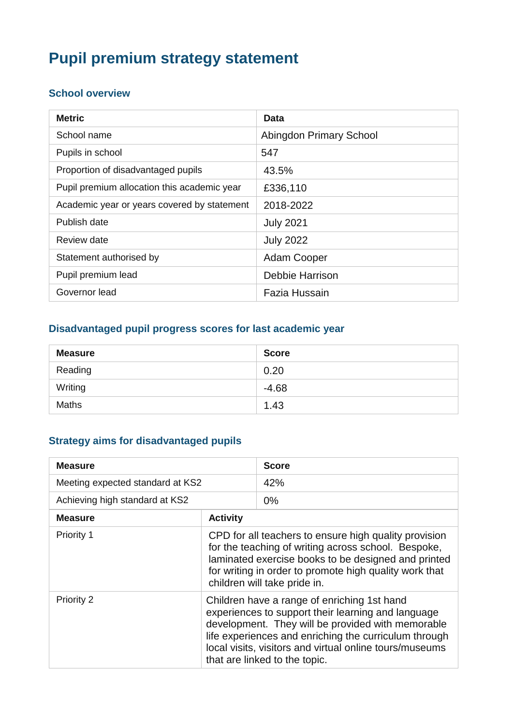# **Pupil premium strategy statement**

### **School overview**

| <b>Metric</b>                               | Data                    |
|---------------------------------------------|-------------------------|
| School name                                 | Abingdon Primary School |
| Pupils in school                            | 547                     |
| Proportion of disadvantaged pupils          | 43.5%                   |
| Pupil premium allocation this academic year | £336,110                |
| Academic year or years covered by statement | 2018-2022               |
| Publish date                                | <b>July 2021</b>        |
| Review date                                 | <b>July 2022</b>        |
| Statement authorised by                     | <b>Adam Cooper</b>      |
| Pupil premium lead                          | <b>Debbie Harrison</b>  |
| Governor lead                               | Fazia Hussain           |

### **Disadvantaged pupil progress scores for last academic year**

| <b>Measure</b> | <b>Score</b> |
|----------------|--------------|
| Reading        | 0.20         |
| Writing        | $-4.68$      |
| <b>Maths</b>   | 1.43         |

## **Strategy aims for disadvantaged pupils**

| <b>Measure</b>                   |                                                                                                                                                                                                                                                                                                             | <b>Score</b> |
|----------------------------------|-------------------------------------------------------------------------------------------------------------------------------------------------------------------------------------------------------------------------------------------------------------------------------------------------------------|--------------|
| Meeting expected standard at KS2 |                                                                                                                                                                                                                                                                                                             | 42%          |
| Achieving high standard at KS2   |                                                                                                                                                                                                                                                                                                             | $0\%$        |
| <b>Measure</b>                   | <b>Activity</b>                                                                                                                                                                                                                                                                                             |              |
| Priority 1                       | CPD for all teachers to ensure high quality provision<br>for the teaching of writing across school. Bespoke,<br>laminated exercise books to be designed and printed<br>for writing in order to promote high quality work that<br>children will take pride in.                                               |              |
| Priority 2                       | Children have a range of enriching 1st hand<br>experiences to support their learning and language<br>development. They will be provided with memorable<br>life experiences and enriching the curriculum through<br>local visits, visitors and virtual online tours/museums<br>that are linked to the topic. |              |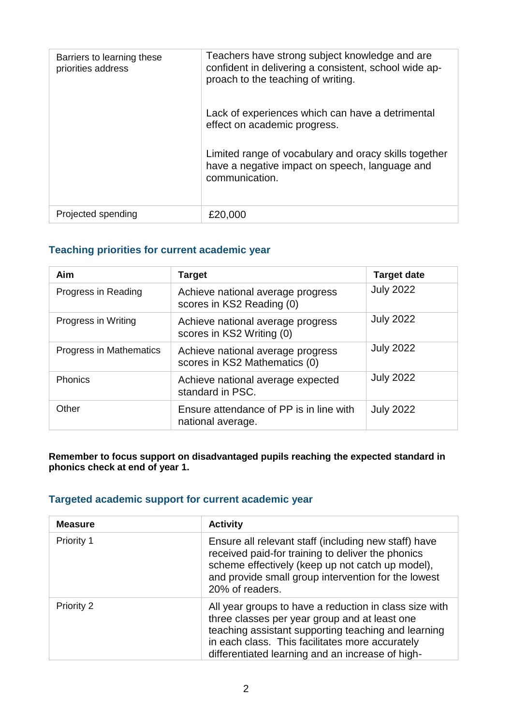| Barriers to learning these<br>priorities address | Teachers have strong subject knowledge and are<br>confident in delivering a consistent, school wide ap-<br>proach to the teaching of writing.<br>Lack of experiences which can have a detrimental<br>effect on academic progress.<br>Limited range of vocabulary and oracy skills together<br>have a negative impact on speech, language and<br>communication. |
|--------------------------------------------------|----------------------------------------------------------------------------------------------------------------------------------------------------------------------------------------------------------------------------------------------------------------------------------------------------------------------------------------------------------------|
| Projected spending                               | £20,000                                                                                                                                                                                                                                                                                                                                                        |

#### **Teaching priorities for current academic year**

| Aim                     | <b>Target</b>                                                      | <b>Target date</b> |
|-------------------------|--------------------------------------------------------------------|--------------------|
| Progress in Reading     | Achieve national average progress<br>scores in KS2 Reading (0)     | <b>July 2022</b>   |
| Progress in Writing     | Achieve national average progress<br>scores in KS2 Writing (0)     | <b>July 2022</b>   |
| Progress in Mathematics | Achieve national average progress<br>scores in KS2 Mathematics (0) | <b>July 2022</b>   |
| <b>Phonics</b>          | Achieve national average expected<br>standard in PSC.              | <b>July 2022</b>   |
| Other                   | Ensure attendance of PP is in line with<br>national average.       | <b>July 2022</b>   |

#### **Remember to focus support on disadvantaged pupils reaching the expected standard in phonics check at end of year 1.**

### **Targeted academic support for current academic year**

| <b>Measure</b> | <b>Activity</b>                                                                                                                                                                                                                                                       |
|----------------|-----------------------------------------------------------------------------------------------------------------------------------------------------------------------------------------------------------------------------------------------------------------------|
| Priority 1     | Ensure all relevant staff (including new staff) have<br>received paid-for training to deliver the phonics<br>scheme effectively (keep up not catch up model),<br>and provide small group intervention for the lowest<br>20% of readers.                               |
| Priority 2     | All year groups to have a reduction in class size with<br>three classes per year group and at least one<br>teaching assistant supporting teaching and learning<br>in each class. This facilitates more accurately<br>differentiated learning and an increase of high- |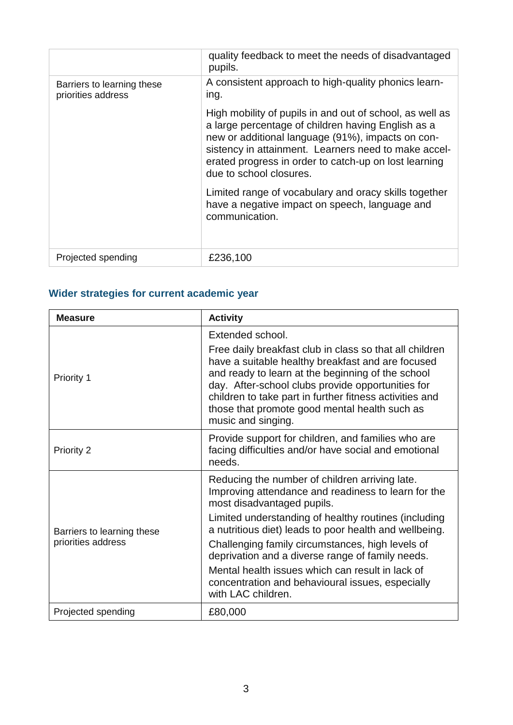|                                                  | quality feedback to meet the needs of disadvantaged<br>pupils.                                                                                                                                                                                                                                                  |
|--------------------------------------------------|-----------------------------------------------------------------------------------------------------------------------------------------------------------------------------------------------------------------------------------------------------------------------------------------------------------------|
| Barriers to learning these<br>priorities address | A consistent approach to high-quality phonics learn-<br>ing.                                                                                                                                                                                                                                                    |
|                                                  | High mobility of pupils in and out of school, as well as<br>a large percentage of children having English as a<br>new or additional language (91%), impacts on con-<br>sistency in attainment. Learners need to make accel-<br>erated progress in order to catch-up on lost learning<br>due to school closures. |
|                                                  | Limited range of vocabulary and oracy skills together<br>have a negative impact on speech, language and<br>communication.                                                                                                                                                                                       |
| Projected spending                               | £236,100                                                                                                                                                                                                                                                                                                        |

## **Wider strategies for current academic year**

| <b>Measure</b>                                   | <b>Activity</b>                                                                                                                                                                                                                                                                                                                                          |
|--------------------------------------------------|----------------------------------------------------------------------------------------------------------------------------------------------------------------------------------------------------------------------------------------------------------------------------------------------------------------------------------------------------------|
|                                                  | Extended school.                                                                                                                                                                                                                                                                                                                                         |
| Priority 1                                       | Free daily breakfast club in class so that all children<br>have a suitable healthy breakfast and are focused<br>and ready to learn at the beginning of the school<br>day. After-school clubs provide opportunities for<br>children to take part in further fitness activities and<br>those that promote good mental health such as<br>music and singing. |
| <b>Priority 2</b>                                | Provide support for children, and families who are<br>facing difficulties and/or have social and emotional<br>needs.                                                                                                                                                                                                                                     |
| Barriers to learning these<br>priorities address | Reducing the number of children arriving late.<br>Improving attendance and readiness to learn for the<br>most disadvantaged pupils.                                                                                                                                                                                                                      |
|                                                  | Limited understanding of healthy routines (including<br>a nutritious diet) leads to poor health and wellbeing.                                                                                                                                                                                                                                           |
|                                                  | Challenging family circumstances, high levels of<br>deprivation and a diverse range of family needs.                                                                                                                                                                                                                                                     |
|                                                  | Mental health issues which can result in lack of<br>concentration and behavioural issues, especially<br>with LAC children.                                                                                                                                                                                                                               |
| Projected spending                               | £80,000                                                                                                                                                                                                                                                                                                                                                  |